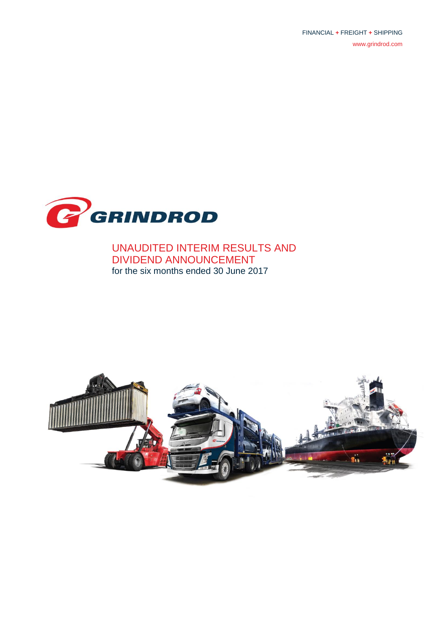FINANCIAL **+** FREIGHT **+** SHIPPING [www.grindrod.com](http://www.grindrod.com/)



UNAUDITED INTERIM RESULTS AND DIVIDEND ANNOUNCEMENT for the six months ended 30 June 2017

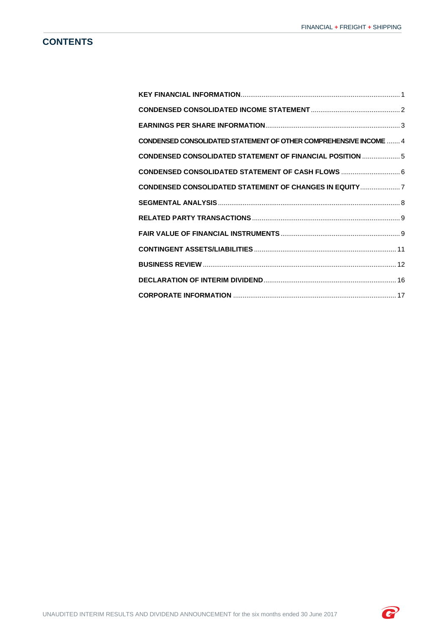# **CONTENTS**

| <b>CONDENSED CONSOLIDATED STATEMENT OF OTHER COMPREHENSIVE INCOME  4</b> |  |
|--------------------------------------------------------------------------|--|
| <b>CONDENSED CONSOLIDATED STATEMENT OF FINANCIAL POSITION  5</b>         |  |
| CONDENSED CONSOLIDATED STATEMENT OF CASH FLOWS  6                        |  |
| <b>CONDENSED CONSOLIDATED STATEMENT OF CHANGES IN EQUITY  7</b>          |  |
|                                                                          |  |
|                                                                          |  |
|                                                                          |  |
|                                                                          |  |
|                                                                          |  |
|                                                                          |  |
|                                                                          |  |

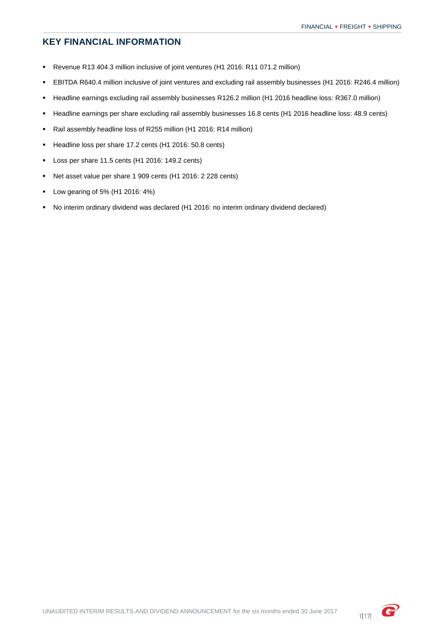# <span id="page-2-0"></span>**KEY FINANCIAL INFORMATION**

- Revenue R13 404.3 million inclusive of joint ventures (H1 2016: R11 071.2 million)
- EBITDA R640.4 million inclusive of joint ventures and excluding rail assembly businesses (H1 2016: R246.4 million)
- Headline earnings excluding rail assembly businesses R126.2 million (H1 2016 headline loss: R367.0 million)
- Headline earnings per share excluding rail assembly businesses 16.8 cents (H1 2016 headline loss: 48.9 cents)
- Rail assembly headline loss of R255 million (H1 2016: R14 million)
- Headline loss per share 17.2 cents (H1 2016: 50.8 cents)
- Loss per share 11.5 cents (H1 2016: 149.2 cents)
- Net asset value per share 1 909 cents (H1 2016: 2 228 cents)
- Low gearing of 5% (H1 2016: 4%)
- No interim ordinary dividend was declared (H1 2016: no interim ordinary dividend declared)

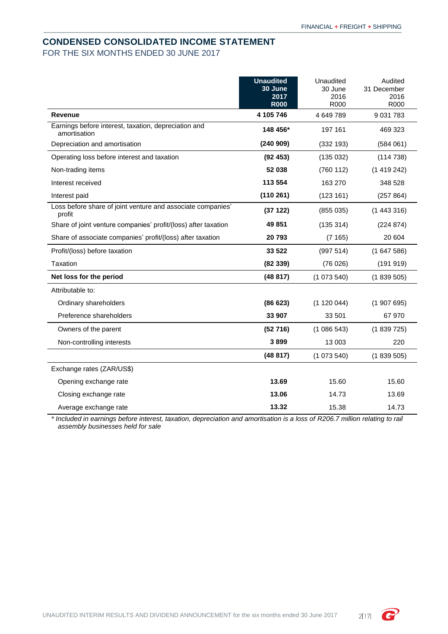## <span id="page-3-0"></span>**CONDENSED CONSOLIDATED INCOME STATEMENT** FOR THE SIX MONTHS ENDED 30 JUNE 2017

|                                                                       | <b>Unaudited</b><br>30 June<br>2017 | Unaudited<br>30 June<br>2016 | Audited<br>31 December<br>2016 |
|-----------------------------------------------------------------------|-------------------------------------|------------------------------|--------------------------------|
|                                                                       | <b>R000</b>                         | R000                         | R000                           |
| Revenue                                                               | 4 105 746                           | 4 649 789                    | 9 0 31 7 8 3                   |
| Earnings before interest, taxation, depreciation and<br>amortisation  | 148 456*                            | 197 161                      | 469 323                        |
| Depreciation and amortisation                                         | (240909)                            | (332 193)                    | (584061)                       |
| Operating loss before interest and taxation                           | (92453)                             | (135032)                     | (114738)                       |
| Non-trading items                                                     | 52 038                              | (760 112)                    | (1419242)                      |
| Interest received                                                     | 113 554                             | 163 270                      | 348 528                        |
| Interest paid                                                         | (110261)                            | (123 161)                    | (257 864)                      |
| Loss before share of joint venture and associate companies'<br>profit | (37122)                             | (855 035)                    | (1443316)                      |
| Share of joint venture companies' profit/(loss) after taxation        | 49851                               | (135314)                     | (224 874)                      |
| Share of associate companies' profit/(loss) after taxation            | 20793                               | (7165)                       | 20 604                         |
| Profit/(loss) before taxation                                         | 33 522                              | (997514)                     | (1647586)                      |
| Taxation                                                              | (82339)                             | (76026)                      | (19191)                        |
| Net loss for the period                                               | (48817)                             | (1073540)                    | (1839505)                      |
| Attributable to:                                                      |                                     |                              |                                |
| Ordinary shareholders                                                 | (86623)                             | (1 120 044)                  | (1907695)                      |
| Preference shareholders                                               | 33 907                              | 33 501                       | 67 970                         |
| Owners of the parent                                                  | (52716)                             | (1086543)                    | (1839725)                      |
| Non-controlling interests                                             | 3899                                | 13 003                       | 220                            |
|                                                                       | (48817)                             | (1073540)                    | (1839505)                      |
| Exchange rates (ZAR/US\$)                                             |                                     |                              |                                |
| Opening exchange rate                                                 | 13.69                               | 15.60                        | 15.60                          |
| Closing exchange rate                                                 | 13.06                               | 14.73                        | 13.69                          |
| Average exchange rate                                                 | 13.32                               | 15.38                        | 14.73                          |

*\* Included in earnings before interest, taxation, depreciation and amortisation is a loss of R206.7 million relating to rail assembly businesses held for sale*

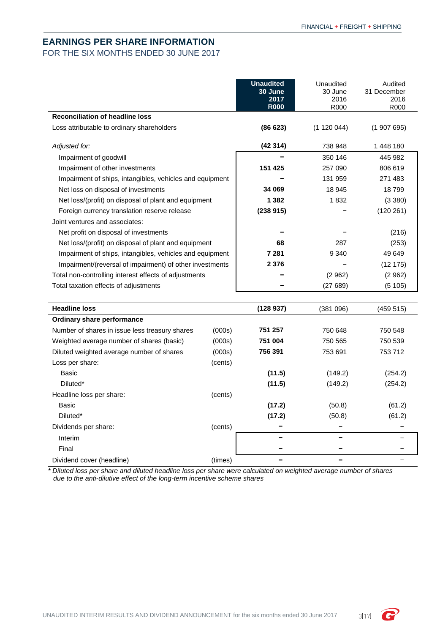## <span id="page-4-0"></span>**EARNINGS PER SHARE INFORMATION**

FOR THE SIX MONTHS ENDED 30 JUNE 2017

|                                                          | <b>Unaudited</b><br>30 June<br>2017<br><b>R000</b> | Unaudited<br>30 June<br>2016<br>R <sub>000</sub> | Audited<br>31 December<br>2016<br>R <sub>000</sub> |
|----------------------------------------------------------|----------------------------------------------------|--------------------------------------------------|----------------------------------------------------|
| <b>Reconciliation of headline loss</b>                   |                                                    |                                                  |                                                    |
| Loss attributable to ordinary shareholders               | (86623)                                            | (1 120 044)                                      | (1907695)                                          |
| Adjusted for:                                            | (42314)                                            | 738 948                                          | 1448 180                                           |
| Impairment of goodwill                                   |                                                    | 350 146                                          | 445 982                                            |
| Impairment of other investments                          | 151 425                                            | 257 090                                          | 806 619                                            |
| Impairment of ships, intangibles, vehicles and equipment |                                                    | 131 959                                          | 271 483                                            |
| Net loss on disposal of investments                      | 34 069                                             | 18 945                                           | 18799                                              |
| Net loss/(profit) on disposal of plant and equipment     | 1 3 8 2                                            | 1832                                             | (3 380)                                            |
| Foreign currency translation reserve release             | (238915)                                           |                                                  | (120 261)                                          |
| Joint ventures and associates:                           |                                                    |                                                  |                                                    |
| Net profit on disposal of investments                    |                                                    |                                                  | (216)                                              |
| Net loss/(profit) on disposal of plant and equipment     | 68                                                 | 287                                              | (253)                                              |
| Impairment of ships, intangibles, vehicles and equipment | 7 2 8 1                                            | 9 3 4 0                                          | 49 649                                             |
| Impairment/(reversal of impairment) of other investments | 2 3 7 6                                            |                                                  | (12 175)                                           |
| Total non-controlling interest effects of adjustments    |                                                    | (2962)                                           | (2962)                                             |
| Total taxation effects of adjustments                    |                                                    | (27689)                                          | (5105)                                             |
|                                                          |                                                    |                                                  |                                                    |
| <b>Headline loss</b>                                     | (128937)                                           | (381096)                                         | (459515)                                           |

| <b>Headline loss</b>                           |         | (128 937) | 381 096) | (459 515) |
|------------------------------------------------|---------|-----------|----------|-----------|
| Ordinary share performance                     |         |           |          |           |
| Number of shares in issue less treasury shares | (000s)  | 751 257   | 750 648  | 750 548   |
| Weighted average number of shares (basic)      | (000s)  | 751 004   | 750 565  | 750 539   |
| Diluted weighted average number of shares      | (000s)  | 756 391   | 753 691  | 753 712   |
| Loss per share:                                | (cents) |           |          |           |
| Basic                                          |         | (11.5)    | (149.2)  | (254.2)   |
| Diluted*                                       |         | (11.5)    | (149.2)  | (254.2)   |
| Headline loss per share:                       | (cents) |           |          |           |
| Basic                                          |         | (17.2)    | (50.8)   | (61.2)    |
| Diluted <sup>*</sup>                           |         | (17.2)    | (50.8)   | (61.2)    |
| Dividends per share:                           | (cents) |           |          |           |
| Interim                                        |         |           |          |           |
| Final                                          |         |           |          |           |
| Dividend cover (headline)                      | (times) |           |          |           |

*\* Diluted loss per share and diluted headline loss per share were calculated on weighted average number of shares due to the anti-dilutive effect of the long-term incentive scheme shares*

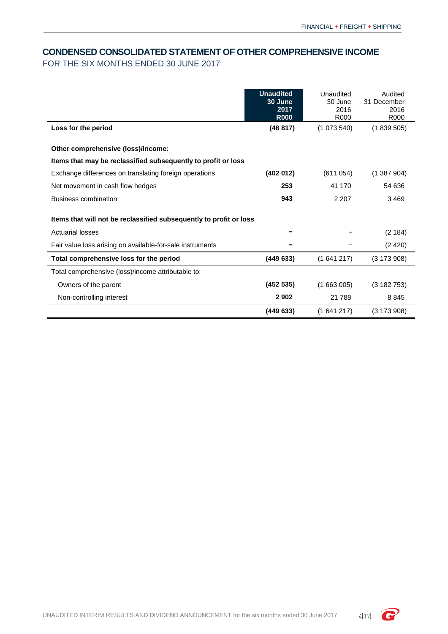## <span id="page-5-0"></span>**CONDENSED CONSOLIDATED STATEMENT OF OTHER COMPREHENSIVE INCOME**

FOR THE SIX MONTHS ENDED 30 JUNE 2017

|                                                                    | <b>Unaudited</b><br>30 June<br>2017<br><b>R000</b> | Unaudited<br>30 June<br>2016<br>R <sub>000</sub> | Audited<br>31 December<br>2016<br>R <sub>000</sub> |
|--------------------------------------------------------------------|----------------------------------------------------|--------------------------------------------------|----------------------------------------------------|
| Loss for the period                                                | (48817)                                            | (1073540)                                        | (1839505)                                          |
| Other comprehensive (loss)/income:                                 |                                                    |                                                  |                                                    |
| Items that may be reclassified subsequently to profit or loss      |                                                    |                                                  |                                                    |
| Exchange differences on translating foreign operations             | (402 012)                                          | (611054)                                         | (1387904)                                          |
| Net movement in cash flow hedges                                   | 253                                                | 41 170                                           | 54 636                                             |
| <b>Business combination</b>                                        | 943                                                | 2 2 0 7                                          | 3469                                               |
| Items that will not be reclassified subsequently to profit or loss |                                                    |                                                  |                                                    |
| <b>Actuarial losses</b>                                            |                                                    |                                                  | (2 184)                                            |
| Fair value loss arising on available-for-sale instruments          |                                                    |                                                  | (2420)                                             |
| Total comprehensive loss for the period                            | (449633)                                           | (1641217)                                        | $(3\ 173\ 908)$                                    |
| Total comprehensive (loss)/income attributable to:                 |                                                    |                                                  |                                                    |
| Owners of the parent                                               | (452 535)                                          | (1663005)                                        | (3182753)                                          |
| Non-controlling interest                                           | 2 9 0 2                                            | 21 788                                           | 8845                                               |
|                                                                    | (449633)                                           | (1641217)                                        | (3173908)                                          |

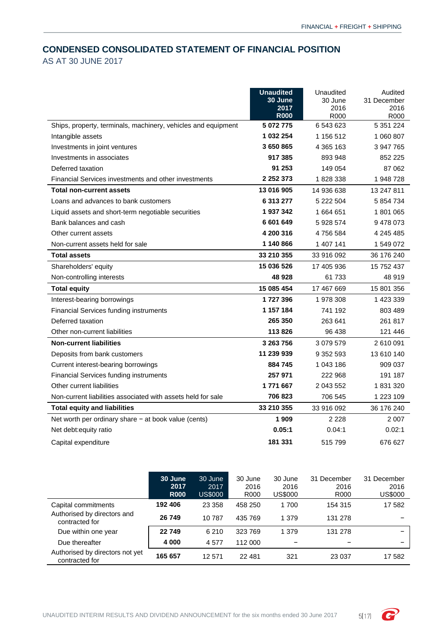# <span id="page-6-0"></span>**CONDENSED CONSOLIDATED STATEMENT OF FINANCIAL POSITION**

AS AT 30 JUNE 2017

|                                                               | <b>Unaudited</b><br>30 June | Unaudited<br>30 June | Audited<br>31 December |
|---------------------------------------------------------------|-----------------------------|----------------------|------------------------|
|                                                               | 2017                        | 2016                 | 2016                   |
|                                                               | <b>R000</b>                 | R000                 | R000                   |
| Ships, property, terminals, machinery, vehicles and equipment | 5 072 775                   | 6 543 623            | 5 351 224              |
| Intangible assets                                             | 1 032 254                   | 1 156 512            | 1 060 807              |
| Investments in joint ventures                                 | 3 650 865                   | 4 365 163            | 3 947 765              |
| Investments in associates                                     | 917 385                     | 893 948              | 852 225                |
| Deferred taxation                                             | 91 253                      | 149 054              | 87 062                 |
| Financial Services investments and other investments          | 2 2 5 2 3 7 3               | 1828338              | 1948728                |
| <b>Total non-current assets</b>                               | 13 016 905                  | 14 936 638           | 13 247 811             |
| Loans and advances to bank customers                          | 6 313 277                   | 5 222 504            | 5 854 734              |
| Liquid assets and short-term negotiable securities            | 1937342                     | 1 664 651            | 1801065                |
| Bank balances and cash                                        | 6 601 649                   | 5 928 574            | 9478073                |
| Other current assets                                          | 4 200 316                   | 4756584              | 4 245 485              |
| Non-current assets held for sale                              | 1 140 866                   | 1 407 141            | 1 549 072              |
| <b>Total assets</b>                                           | 33 210 355                  | 33 916 092           | 36 176 240             |
| Shareholders' equity                                          | 15 036 526                  | 17 405 936           | 15 752 437             |
| Non-controlling interests                                     | 48 928                      | 61 733               | 48 919                 |
| <b>Total equity</b>                                           | 15 085 454                  | 17 467 669           | 15 801 356             |
| Interest-bearing borrowings                                   | 1727396                     | 1978308              | 1 423 339              |
| <b>Financial Services funding instruments</b>                 | 1 157 184                   | 741 192              | 803 489                |
| Deferred taxation                                             | 265 350                     | 263 641              | 261 817                |
| Other non-current liabilities                                 | 113826                      | 96 438               | 121 446                |
| <b>Non-current liabilities</b>                                | 3 263 756                   | 3 079 579            | 2610091                |
| Deposits from bank customers                                  | 11 239 939                  | 9 352 593            | 13 610 140             |
| Current interest-bearing borrowings                           | 884 745                     | 1 043 186            | 909 037                |
| <b>Financial Services funding instruments</b>                 | 257 971                     | 222 968              | 191 187                |
| Other current liabilities                                     | 1771667                     | 2 043 552            | 1831320                |
| Non-current liabilities associated with assets held for sale  | 706 823                     | 706 545              | 1 223 109              |
| <b>Total equity and liabilities</b>                           | 33 210 355                  | 33 916 092           | 36 176 240             |
| Net worth per ordinary share $-$ at book value (cents)        | 1 909                       | 2 2 2 8              | 2 0 0 7                |
| Net debt: equity ratio                                        | 0.05:1                      | 0.04:1               | 0.02:1                 |
| Capital expenditure                                           | 181 331                     | 515 799              | 676 627                |

|                                                   | 30 June<br>2017<br><b>R000</b> | 30 June<br>2017<br><b>US\$000</b> | 30 June<br>2016<br>R000 | 30 June<br>2016<br><b>US\$000</b> | 31 December<br>2016<br>R000 | 31 December<br>2016<br><b>US\$000</b> |
|---------------------------------------------------|--------------------------------|-----------------------------------|-------------------------|-----------------------------------|-----------------------------|---------------------------------------|
| Capital commitments                               | 192 406                        | 23 3 58                           | 458 250                 | 1700                              | 154 315                     | 17 582                                |
| Authorised by directors and<br>contracted for     | 26 749                         | 10787                             | 435 769                 | 1 379                             | 131 278                     |                                       |
| Due within one year                               | 22 749                         | 6 2 1 0                           | 323 769                 | 1 3 7 9                           | 131 278                     |                                       |
| Due thereafter                                    | 4 0 0 0                        | 4577                              | 112 000                 |                                   |                             | -                                     |
| Authorised by directors not yet<br>contracted for | 165 657                        | 12 571                            | 22 481                  | 321                               | 23 0 37                     | 17 582                                |

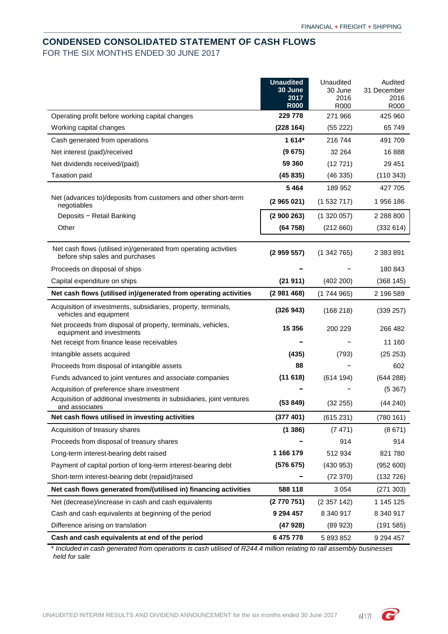# <span id="page-7-0"></span>**CONDENSED CONSOLIDATED STATEMENT OF CASH FLOWS** FOR THE SIX MONTHS ENDED 30 JUNE 2017

|                                                                                                     | <b>Unaudited</b><br>30 June<br>2017<br><b>R000</b> | Unaudited<br>30 June<br>2016<br>R000 | Audited<br>31 December<br>2016<br>R000 |
|-----------------------------------------------------------------------------------------------------|----------------------------------------------------|--------------------------------------|----------------------------------------|
| Operating profit before working capital changes                                                     | 229 778                                            | 271 966                              | 425 960                                |
| Working capital changes                                                                             | (228 164)                                          | (55 222)                             | 65 749                                 |
| Cash generated from operations                                                                      | $1614*$                                            | 216 744                              | 491 709                                |
| Net interest (paid)/received                                                                        | (9675)                                             | 32 2 64                              | 16888                                  |
| Net dividends received/(paid)                                                                       | 59 360                                             | (12721)                              | 29 4 51                                |
| <b>Taxation paid</b>                                                                                | (45835)                                            | (46335)                              | (110343)                               |
|                                                                                                     | 5464                                               | 189 952                              | 427 705                                |
| Net (advances to)/deposits from customers and other short-term<br>negotiables                       | (2965021)                                          | (1532717)                            | 1956 186                               |
| Deposits - Retail Banking                                                                           | (2900263)                                          | (1320057)                            | 2 288 800                              |
| Other                                                                                               | (64758)                                            | (212660)                             | (332614)                               |
| Net cash flows (utilised in)/generated from operating activities<br>before ship sales and purchases | (2959557)                                          | (1342765)                            | 2 383 891                              |
| Proceeds on disposal of ships                                                                       |                                                    |                                      | 180 843                                |
| Capital expenditure on ships                                                                        | (21911)                                            | (402 200)                            | (368145)                               |
| Net cash flows (utilised in)/generated from operating activities                                    | (2981468)                                          | (1744965)                            | 2 196 589                              |
| Acquisition of investments, subsidiaries, property, terminals,<br>vehicles and equipment            | (326943)                                           | (168 218)                            | (339 257)                              |
| Net proceeds from disposal of property, terminals, vehicles,<br>equipment and investments           | 15 356                                             | 200 229                              | 266 482                                |
| Net receipt from finance lease receivables                                                          |                                                    |                                      | 11 160                                 |
| Intangible assets acquired                                                                          | (435)                                              | (793)                                | (25 253)                               |
| Proceeds from disposal of intangible assets                                                         | 88                                                 |                                      | 602                                    |
| Funds advanced to joint ventures and associate companies                                            | (11618)                                            | (614194)                             | (644288)                               |
| Acquisition of preference share investment                                                          |                                                    |                                      | (5367)                                 |
| Acquisition of additional investments in subsidiaries, joint ventures<br>and associates             | (53 849)                                           | (32 255)                             | (44 240)                               |
| Net cash flows utilised in investing activities                                                     | (377 401)                                          | (615231)                             | (780 161)                              |
| Acquisition of treasury shares                                                                      | (1386)                                             | (7471)                               | (8671)                                 |
| Proceeds from disposal of treasury shares                                                           |                                                    | 914                                  | 914                                    |
| Long-term interest-bearing debt raised                                                              | 1 166 179                                          | 512 934                              | 821 780                                |
| Payment of capital portion of long-term interest-bearing debt                                       | (576675)                                           | (430953)                             | (952 600)                              |
| Short-term interest-bearing debt (repaid)/raised                                                    |                                                    | (72370)                              | (132 726)                              |
| Net cash flows generated from/(utilised in) financing activities                                    | 588 118                                            | 3 0 5 4                              | (271303)                               |
| Net (decrease)/increase in cash and cash equivalents                                                | (2770751)                                          | (2357142)                            | 1 145 125                              |
| Cash and cash equivalents at beginning of the period                                                | 9 294 457                                          | 8 340 917                            | 8 340 917                              |
| Difference arising on translation                                                                   | (47928)                                            | (89923)                              | (191585)                               |
| Cash and cash equivalents at end of the period                                                      | 6 475 778                                          | 5893852                              | 9 294 457                              |

\* *Included in cash generated from operations is cash utilised of R244.4 million relating to rail assembly businesses held for sale*

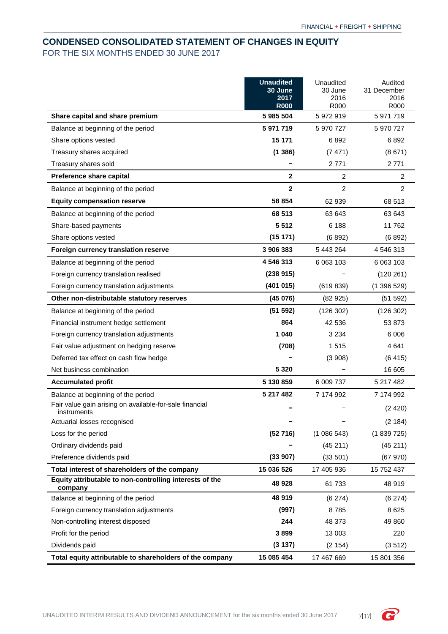# <span id="page-8-0"></span>**CONDENSED CONSOLIDATED STATEMENT OF CHANGES IN EQUITY** FOR THE SIX MONTHS ENDED 30 JUNE 2017

|                                                                        | <b>Unaudited</b> | Unaudited       | Audited             |
|------------------------------------------------------------------------|------------------|-----------------|---------------------|
|                                                                        | 30 June<br>2017  | 30 June<br>2016 | 31 December<br>2016 |
|                                                                        | <b>R000</b>      | R000            | R000                |
| Share capital and share premium                                        | 5 985 504        | 5 972 919       | 5 971 719           |
| Balance at beginning of the period                                     | 5 971 719        | 5 970 727       | 5 970 727           |
| Share options vested                                                   | 15 171           | 6892            | 6892                |
| Treasury shares acquired                                               | (1386)           | (7471)          | (8671)              |
| Treasury shares sold                                                   |                  | 2 7 7 1         | 2771                |
| Preference share capital                                               | $\mathbf{2}$     | 2               | $\overline{2}$      |
| Balance at beginning of the period                                     | $\mathbf{2}$     | 2               | 2                   |
| <b>Equity compensation reserve</b>                                     | 58 854           | 62 939          | 68 513              |
| Balance at beginning of the period                                     | 68 513           | 63 643          | 63 643              |
| Share-based payments                                                   | 5 5 1 2          | 6 188           | 11762               |
| Share options vested                                                   | (15 171)         | (6892)          | (6892)              |
| Foreign currency translation reserve                                   | 3 906 383        | 5 443 264       | 4 546 313           |
| Balance at beginning of the period                                     | 4 546 313        | 6 063 103       | 6 063 103           |
| Foreign currency translation realised                                  | (238915)         |                 | (120 261)           |
| Foreign currency translation adjustments                               | (401 015)        | (619839)        | (1396529)           |
| Other non-distributable statutory reserves                             | (45076)          | (82925)         | (51 592)            |
| Balance at beginning of the period                                     | (51 592)         | (126 302)       | (126 302)           |
| Financial instrument hedge settlement                                  | 864              | 42 536          | 53 873              |
| Foreign currency translation adjustments                               | 1040             | 3 2 3 4         | 6006                |
| Fair value adjustment on hedging reserve                               | (708)            | 1515            | 4641                |
| Deferred tax effect on cash flow hedge                                 |                  | (3908)          | (6415)              |
| Net business combination                                               | 5 3 2 0          |                 | 16 605              |
| <b>Accumulated profit</b>                                              | 5 130 859        | 6 009 737       | 5 217 482           |
| Balance at beginning of the period                                     | 5 217 482        | 7 174 992       | 7 174 992           |
| Fair value gain arising on available-for-sale financial<br>instruments |                  |                 | (2420)              |
| Actuarial losses recognised                                            |                  |                 | (2184)              |
| Loss for the period                                                    | (52716)          | (1086543)       | (1839725)           |
| Ordinary dividends paid                                                |                  | (45211)         | (45211)             |
| Preference dividends paid                                              | (33907)          | (33 501)        | (67970)             |
| Total interest of shareholders of the company                          | 15 036 526       | 17 405 936      | 15 752 437          |
| Equity attributable to non-controlling interests of the<br>company     | 48 928           | 61 733          | 48 919              |
| Balance at beginning of the period                                     | 48 919           | (6274)          | (6274)              |
| Foreign currency translation adjustments                               | (997)            | 8785            | 8625                |
| Non-controlling interest disposed                                      | 244              | 48 373          | 49 860              |
| Profit for the period                                                  | 3899             | 13 003          | 220                 |
| Dividends paid                                                         | (3137)           | (2 154)         | (3512)              |
| Total equity attributable to shareholders of the company               | 15 085 454       | 17 467 669      | 15 801 356          |

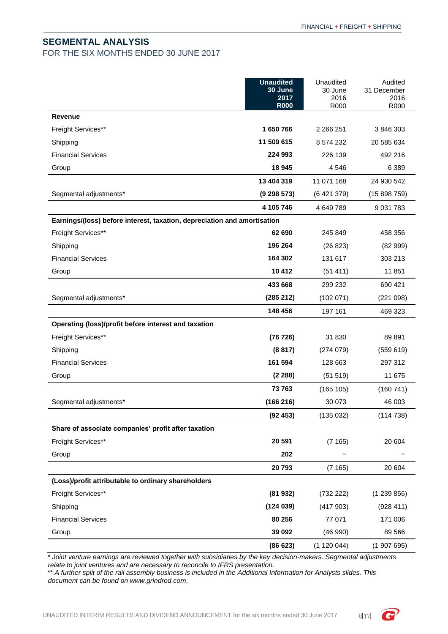## <span id="page-9-0"></span>**SEGMENTAL ANALYSIS**

FOR THE SIX MONTHS ENDED 30 JUNE 2017

|                                                                          | <b>Unaudited</b><br>30 June<br>2017<br><b>R000</b> | Unaudited<br>30 June<br>2016<br>R000 | Audited<br>31 December<br>2016<br>R000 |
|--------------------------------------------------------------------------|----------------------------------------------------|--------------------------------------|----------------------------------------|
| <b>Revenue</b>                                                           |                                                    |                                      |                                        |
| Freight Services**                                                       | 1 650 766                                          | 2 2 6 2 5 1                          | 3 846 303                              |
| Shipping                                                                 | 11 509 615                                         | 8 574 232                            | 20 585 634                             |
| <b>Financial Services</b>                                                | 224 993                                            | 226 139                              | 492 216                                |
| Group                                                                    | 18 945                                             | 4 5 4 6                              | 6 3 8 9                                |
|                                                                          | 13 404 319                                         | 11 071 168                           | 24 930 542                             |
| Segmental adjustments*                                                   | (9 298 573)                                        | (6421379)                            | (15898759)                             |
|                                                                          | 4 105 746                                          | 4 649 789                            | 9 0 31 7 8 3                           |
| Earnings/(loss) before interest, taxation, depreciation and amortisation |                                                    |                                      |                                        |
| Freight Services**                                                       | 62 690                                             | 245 849                              | 458 356                                |
| Shipping                                                                 | 196 264                                            | (26 823)                             | (82999)                                |
| <b>Financial Services</b>                                                | 164 302                                            | 131 617                              | 303 213                                |
| Group                                                                    | 10 412                                             | (51411)                              | 11 851                                 |
|                                                                          | 433 668                                            | 299 232                              | 690 421                                |
| Segmental adjustments*                                                   | (285 212)                                          | (102 071)                            | (221098)                               |
|                                                                          | 148 456                                            | 197 161                              | 469 323                                |
| Operating (loss)/profit before interest and taxation                     |                                                    |                                      |                                        |
| Freight Services**                                                       | (76726)                                            | 31 830                               | 89891                                  |
| Shipping                                                                 | (8817)                                             | (274079)                             | (559619)                               |
| <b>Financial Services</b>                                                | 161 594                                            | 128 663                              | 297 312                                |
| Group                                                                    | (2 288)                                            | (51 519)                             | 11 675                                 |
|                                                                          | 73 763                                             | (165 105)                            | (160741)                               |
| Segmental adjustments*                                                   | (166 216)                                          | 30 073                               | 46 003                                 |
|                                                                          | (92453)                                            | (135032)                             | (114738)                               |
| Share of associate companies' profit after taxation                      |                                                    |                                      |                                        |
| Freight Services**                                                       | 20 591                                             | (7165)                               | 20 604                                 |
| Group                                                                    | 202                                                |                                      |                                        |
|                                                                          | 20793                                              | (7165)                               | 20 604                                 |
| (Loss)/profit attributable to ordinary shareholders                      |                                                    |                                      |                                        |
| Freight Services**                                                       | (81932)                                            | (732 222)                            | (1239856)                              |
| Shipping                                                                 | (124039)                                           | (417903)                             | (928 411)                              |
| <b>Financial Services</b>                                                | 80 256                                             | 77 071                               | 171 006                                |
| Group                                                                    | 39 092                                             | (46990)                              | 89 566                                 |
|                                                                          | (86623)                                            | (1 120 044)                          | (1907695)                              |

*\* Joint venture earnings are reviewed together with subsidiaries by the key decision-makers. Segmental adjustments relate to joint ventures and are necessary to reconcile to IFRS presentation*.

\*\* *A further split of the rail assembly business is included in the Additional Information for Analysts slides. This document can be found on www.grindrod.com*.

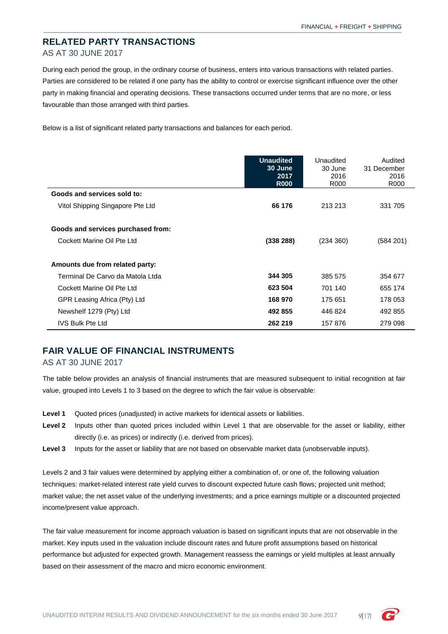# <span id="page-10-0"></span>**RELATED PARTY TRANSACTIONS** AS AT 30 JUNE 2017

During each period the group, in the ordinary course of business, enters into various transactions with related parties. Parties are considered to be related if one party has the ability to control or exercise significant influence over the other party in making financial and operating decisions. These transactions occurred under terms that are no more, or less favourable than those arranged with third parties.

Below is a list of significant related party transactions and balances for each period.

|                                    | <b>Unaudited</b><br>30 June<br>2017<br><b>R000</b> | Unaudited<br>30 June<br>2016<br>R000 | Audited<br>31 December<br>2016<br>R <sub>000</sub> |
|------------------------------------|----------------------------------------------------|--------------------------------------|----------------------------------------------------|
| Goods and services sold to:        |                                                    |                                      |                                                    |
| Vitol Shipping Singapore Pte Ltd   | 66 176                                             | 213 213                              | 331 705                                            |
| Goods and services purchased from: |                                                    |                                      |                                                    |
| Cockett Marine Oil Pte Ltd         | (338 288)                                          | (234 360)                            | (584 201)                                          |
| Amounts due from related party:    |                                                    |                                      |                                                    |
| Terminal De Carvo da Matola Ltda   | 344 305                                            | 385 575                              | 354 677                                            |
| Cockett Marine Oil Pte Ltd         | 623 504                                            | 701 140                              | 655 174                                            |
| GPR Leasing Africa (Pty) Ltd       | 168 970                                            | 175 651                              | 178 053                                            |
| Newshelf 1279 (Pty) Ltd            | 492 855                                            | 446 824                              | 492 855                                            |
| <b>IVS Bulk Pte Ltd</b>            | 262 219                                            | 157 876                              | 279 098                                            |

# <span id="page-10-1"></span>**FAIR VALUE OF FINANCIAL INSTRUMENTS**

#### AS AT 30 JUNE 2017

The table below provides an analysis of financial instruments that are measured subsequent to initial recognition at fair value, grouped into Levels 1 to 3 based on the degree to which the fair value is observable:

- **Level 1** Quoted prices (unadjusted) in active markets for identical assets or liabilities.
- **Level 2** Inputs other than quoted prices included within Level 1 that are observable for the asset or liability, either directly (i.e. as prices) or indirectly (i.e. derived from prices).
- Level 3 Inputs for the asset or liability that are not based on observable market data (unobservable inputs).

Levels 2 and 3 fair values were determined by applying either a combination of, or one of, the following valuation techniques: market-related interest rate yield curves to discount expected future cash flows; projected unit method; market value; the net asset value of the underlying investments; and a price earnings multiple or a discounted projected income/present value approach.

The fair value measurement for income approach valuation is based on significant inputs that are not observable in the market. Key inputs used in the valuation include discount rates and future profit assumptions based on historical performance but adjusted for expected growth. Management reassess the earnings or yield multiples at least annually based on their assessment of the macro and micro economic environment.

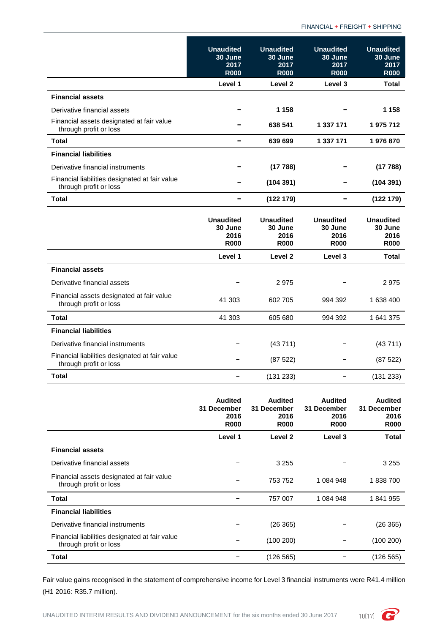FINANCIAL **+** FREIGHT **+** SHIPPING

|                                                                          | <b>Unaudited</b><br>30 June<br>2017<br><b>R000</b> | <b>Unaudited</b><br>30 June<br>2017<br><b>R000</b> | <b>Unaudited</b><br>30 June<br>2017<br><b>R000</b> | <b>Unaudited</b><br>30 June<br>2017<br><b>R000</b> |
|--------------------------------------------------------------------------|----------------------------------------------------|----------------------------------------------------|----------------------------------------------------|----------------------------------------------------|
|                                                                          | Level 1                                            | Level <sub>2</sub>                                 | Level 3                                            | Total                                              |
| <b>Financial assets</b>                                                  |                                                    |                                                    |                                                    |                                                    |
| Derivative financial assets                                              |                                                    | 1 1 5 8                                            |                                                    | 1 1 5 8                                            |
| Financial assets designated at fair value<br>through profit or loss      |                                                    | 638 541                                            | 1 337 171                                          | 1975712                                            |
| <b>Total</b>                                                             | $\overline{\phantom{0}}$                           | 639 699                                            | 1 337 171                                          | 1976870                                            |
| <b>Financial liabilities</b>                                             |                                                    |                                                    |                                                    |                                                    |
| Derivative financial instruments                                         |                                                    | (17788)                                            |                                                    | (17788)                                            |
| Financial liabilities designated at fair value<br>through profit or loss |                                                    | (104391)                                           |                                                    | (104391)                                           |
| <b>Total</b>                                                             | $\blacksquare$                                     | (122179)                                           | -                                                  | (122179)                                           |
|                                                                          | <b>Unaudited</b><br>30 June<br>2016<br><b>R000</b> | <b>Unaudited</b><br>30 June<br>2016<br><b>R000</b> | <b>Unaudited</b><br>30 June<br>2016<br><b>R000</b> | <b>Unaudited</b><br>30 June<br>2016<br><b>R000</b> |
|                                                                          | Level 1                                            | Level <sub>2</sub>                                 | Level 3                                            | Total                                              |
| <b>Financial assets</b>                                                  |                                                    |                                                    |                                                    |                                                    |
| Derivative financial assets                                              |                                                    | 2975                                               |                                                    | 2975                                               |
| Financial assets designated at fair value<br>through profit or loss      | 41 303                                             | 602 705                                            | 994 392                                            | 1 638 400                                          |
| Total                                                                    | 41 303                                             | 605 680                                            | 994 392                                            | 1641375                                            |
| <b>Financial liabilities</b>                                             |                                                    |                                                    |                                                    |                                                    |
| Derivative financial instruments                                         |                                                    | (43711)                                            |                                                    | (43711)                                            |
| Financial liabilities designated at fair value<br>through profit or loss |                                                    | (87522)                                            |                                                    | (87522)                                            |
| <b>Total</b>                                                             |                                                    | (131 233)                                          | $\overline{\phantom{0}}$                           | (131 233)                                          |
|                                                                          |                                                    |                                                    |                                                    |                                                    |

|                                                                          | <b>Audited</b><br>31 December<br>2016<br><b>R000</b> | <b>Audited</b><br>31 December<br>2016<br><b>R000</b> | <b>Audited</b><br>31 December<br>2016<br><b>R000</b> | <b>Audited</b><br>31 December<br>2016<br><b>R000</b> |
|--------------------------------------------------------------------------|------------------------------------------------------|------------------------------------------------------|------------------------------------------------------|------------------------------------------------------|
|                                                                          | Level 1                                              | Level 2                                              | Level 3                                              | <b>Total</b>                                         |
| <b>Financial assets</b>                                                  |                                                      |                                                      |                                                      |                                                      |
| Derivative financial assets                                              |                                                      | 3 2 5 5                                              |                                                      | 3 2 5 5                                              |
| Financial assets designated at fair value<br>through profit or loss      |                                                      | 753 752                                              | 1 084 948                                            | 1838700                                              |
| Total                                                                    |                                                      | 757 007                                              | 1 084 948                                            | 1841955                                              |
| <b>Financial liabilities</b>                                             |                                                      |                                                      |                                                      |                                                      |
| Derivative financial instruments                                         |                                                      | (26365)                                              |                                                      | (26 365)                                             |
| Financial liabilities designated at fair value<br>through profit or loss |                                                      | (100 200)                                            |                                                      | (100 200)                                            |
| Total                                                                    |                                                      | (126 565)                                            |                                                      | (126 565)                                            |

Fair value gains recognised in the statement of comprehensive income for Level 3 financial instruments were R41.4 million (H1 2016: R35.7 million).

UNAUDITED INTERIM RESULTS AND DIVIDEND ANNOUNCEMENT for the six months ended 30 June 2017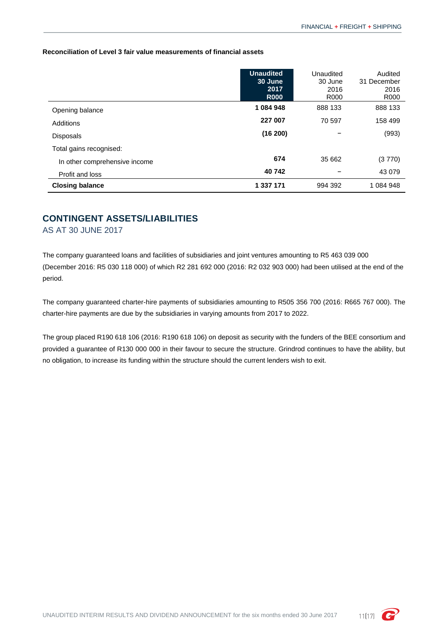**Reconciliation of Level 3 fair value measurements of financial assets**

|                               | <b>Unaudited</b><br>30 June<br>2017<br><b>R000</b> | Unaudited<br>30 June<br>2016<br>R <sub>000</sub> | Audited<br>31 December<br>2016<br>R <sub>000</sub> |
|-------------------------------|----------------------------------------------------|--------------------------------------------------|----------------------------------------------------|
| Opening balance               | 1 084 948                                          | 888 133                                          | 888 133                                            |
| Additions                     | 227 007                                            | 70 597                                           | 158 499                                            |
| <b>Disposals</b>              | (16 200)                                           |                                                  | (993)                                              |
| Total gains recognised:       |                                                    |                                                  |                                                    |
| In other comprehensive income | 674                                                | 35 662                                           | (3770)                                             |
| Profit and loss               | 40742                                              |                                                  | 43 0 79                                            |
| <b>Closing balance</b>        | 1 337 171                                          | 994 392                                          | 1 084 948                                          |

## <span id="page-12-0"></span>**CONTINGENT ASSETS/LIABILITIES**

AS AT 30 JUNE 2017

The company guaranteed loans and facilities of subsidiaries and joint ventures amounting to R5 463 039 000 (December 2016: R5 030 118 000) of which R2 281 692 000 (2016: R2 032 903 000) had been utilised at the end of the period.

The company guaranteed charter-hire payments of subsidiaries amounting to R505 356 700 (2016: R665 767 000). The charter-hire payments are due by the subsidiaries in varying amounts from 2017 to 2022.

The group placed R190 618 106 (2016: R190 618 106) on deposit as security with the funders of the BEE consortium and provided a guarantee of R130 000 000 in their favour to secure the structure. Grindrod continues to have the ability, but no obligation, to increase its funding within the structure should the current lenders wish to exit.

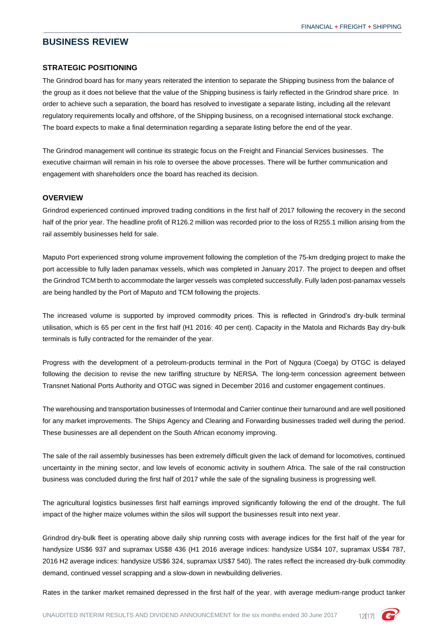### <span id="page-13-0"></span>**BUSINESS REVIEW**

#### **STRATEGIC POSITIONING**

The Grindrod board has for many years reiterated the intention to separate the Shipping business from the balance of the group as it does not believe that the value of the Shipping business is fairly reflected in the Grindrod share price. In order to achieve such a separation, the board has resolved to investigate a separate listing, including all the relevant regulatory requirements locally and offshore, of the Shipping business, on a recognised international stock exchange. The board expects to make a final determination regarding a separate listing before the end of the year.

The Grindrod management will continue its strategic focus on the Freight and Financial Services businesses. The executive chairman will remain in his role to oversee the above processes. There will be further communication and engagement with shareholders once the board has reached its decision.

### **OVERVIEW**

Grindrod experienced continued improved trading conditions in the first half of 2017 following the recovery in the second half of the prior year. The headline profit of R126.2 million was recorded prior to the loss of R255.1 million arising from the rail assembly businesses held for sale.

Maputo Port experienced strong volume improvement following the completion of the 75-km dredging project to make the port accessible to fully laden panamax vessels, which was completed in January 2017. The project to deepen and offset the Grindrod TCM berth to accommodate the larger vessels was completed successfully. Fully laden post-panamax vessels are being handled by the Port of Maputo and TCM following the projects.

The increased volume is supported by improved commodity prices. This is reflected in Grindrod's dry-bulk terminal utilisation, which is 65 per cent in the first half (H1 2016: 40 per cent). Capacity in the Matola and Richards Bay dry-bulk terminals is fully contracted for the remainder of the year.

Progress with the development of a petroleum-products terminal in the Port of Ngqura (Coega) by OTGC is delayed following the decision to revise the new tariffing structure by NERSA. The long-term concession agreement between Transnet National Ports Authority and OTGC was signed in December 2016 and customer engagement continues.

The warehousing and transportation businesses of Intermodal and Carrier continue their turnaround and are well positioned for any market improvements. The Ships Agency and Clearing and Forwarding businesses traded well during the period. These businesses are all dependent on the South African economy improving.

The sale of the rail assembly businesses has been extremely difficult given the lack of demand for locomotives, continued uncertainty in the mining sector, and low levels of economic activity in southern Africa. The sale of the rail construction business was concluded during the first half of 2017 while the sale of the signaling business is progressing well.

The agricultural logistics businesses first half earnings improved significantly following the end of the drought. The full impact of the higher maize volumes within the silos will support the businesses result into next year.

Grindrod dry-bulk fleet is operating above daily ship running costs with average indices for the first half of the year for handysize US\$6 937 and supramax US\$8 436 (H1 2016 average indices: handysize US\$4 107, supramax US\$4 787, 2016 H2 average indices: handysize US\$6 324, supramax US\$7 540). The rates reflect the increased dry-bulk commodity demand, continued vessel scrapping and a slow-down in newbuilding deliveries.

Rates in the tanker market remained depressed in the first half of the year, with average medium-range product tanker

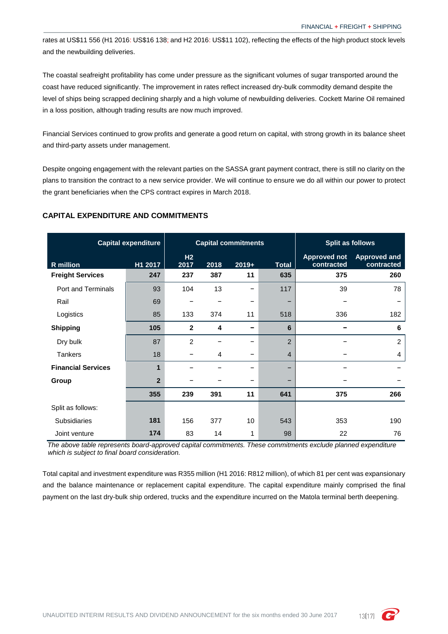rates at US\$11 556 (H1 2016: US\$16 138; and H2 2016: US\$11 102), reflecting the effects of the high product stock levels and the newbuilding deliveries.

The coastal seafreight profitability has come under pressure as the significant volumes of sugar transported around the coast have reduced significantly. The improvement in rates reflect increased dry-bulk commodity demand despite the level of ships being scrapped declining sharply and a high volume of newbuilding deliveries. Cockett Marine Oil remained in a loss position, although trading results are now much improved.

Financial Services continued to grow profits and generate a good return on capital, with strong growth in its balance sheet and third-party assets under management.

Despite ongoing engagement with the relevant parties on the SASSA grant payment contract, there is still no clarity on the plans to transition the contract to a new service provider. We will continue to ensure we do all within our power to protect the grant beneficiaries when the CPS contract expires in March 2018.

### **CAPITAL EXPENDITURE AND COMMITMENTS**

| <b>Capital expenditure</b> |                | <b>Capital commitments</b> |      |         | <b>Split as follows</b> |                                   |                                   |
|----------------------------|----------------|----------------------------|------|---------|-------------------------|-----------------------------------|-----------------------------------|
| <b>R</b> million           | H1 2017        | H2<br>2017                 | 2018 | $2019+$ | <b>Total</b>            | <b>Approved not</b><br>contracted | <b>Approved and</b><br>contracted |
| <b>Freight Services</b>    | 247            | 237                        | 387  | 11      | 635                     | 375                               | 260                               |
| Port and Terminals         | 93             | 104                        | 13   |         | 117                     | 39                                | 78                                |
| Rail                       | 69             | -                          |      | -       | -                       |                                   |                                   |
| Logistics                  | 85             | 133                        | 374  | 11      | 518                     | 336                               | 182                               |
| <b>Shipping</b>            | 105            | $\mathbf{2}$               | 4    | -       | 6                       |                                   | 6                                 |
| Dry bulk                   | 87             | $\overline{2}$             |      |         | $\overline{2}$          |                                   | $\overline{c}$                    |
| <b>Tankers</b>             | 18             | -                          | 4    |         | 4                       |                                   | 4                                 |
| <b>Financial Services</b>  | 1              |                            |      | -       | -                       |                                   |                                   |
| Group                      | $\overline{2}$ |                            |      |         | -                       |                                   |                                   |
|                            | 355            | 239                        | 391  | 11      | 641                     | 375                               | 266                               |
| Split as follows:          |                |                            |      |         |                         |                                   |                                   |
| <b>Subsidiaries</b>        | 181            | 156                        | 377  | 10      | 543                     | 353                               | 190                               |
| Joint venture              | 174            | 83                         | 14   | 1       | 98                      | 22                                | 76                                |

*The above table represents board-approved capital commitments. These commitments exclude planned expenditure which is subject to final board consideration.*

Total capital and investment expenditure was R355 million (H1 2016: R812 million), of which 81 per cent was expansionary and the balance maintenance or replacement capital expenditure. The capital expenditure mainly comprised the final payment on the last dry-bulk ship ordered, trucks and the expenditure incurred on the Matola terminal berth deepening.

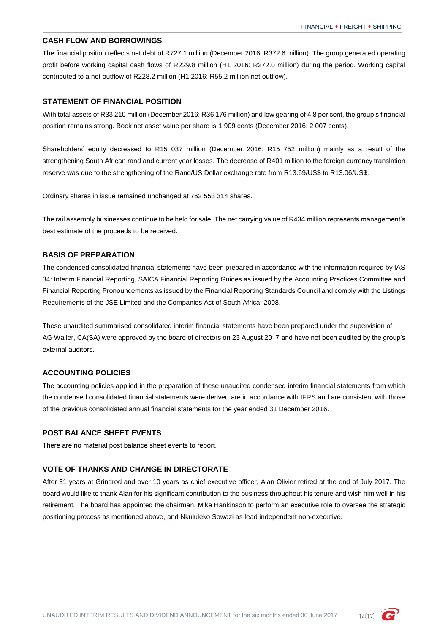#### **CASH FLOW AND BORROWINGS**

The financial position reflects net debt of R727.1 million (December 2016: R372.6 million). The group generated operating profit before working capital cash flows of R229.8 million (H1 2016: R272.0 million) during the period. Working capital contributed to a net outflow of R228.2 million (H1 2016: R55.2 million net outflow).

### **STATEMENT OF FINANCIAL POSITION**

With total assets of R33 210 million (December 2016: R36 176 million) and low gearing of 4.8 per cent, the group's financial position remains strong. Book net asset value per share is 1 909 cents (December 2016: 2 007 cents).

Shareholders' equity decreased to R15 037 million (December 2016: R15 752 million) mainly as a result of the strengthening South African rand and current year losses. The decrease of R401 million to the foreign currency translation reserve was due to the strengthening of the Rand/US Dollar exchange rate from R13.69/US\$ to R13.06/US\$.

Ordinary shares in issue remained unchanged at 762 553 314 shares.

The rail assembly businesses continue to be held for sale. The net carrying value of R434 million represents management's best estimate of the proceeds to be received.

### **BASIS OF PREPARATION**

The condensed consolidated financial statements have been prepared in accordance with the information required by IAS 34: Interim Financial Reporting, SAICA Financial Reporting Guides as issued by the Accounting Practices Committee and Financial Reporting Pronouncements as issued by the Financial Reporting Standards Council and comply with the Listings Requirements of the JSE Limited and the Companies Act of South Africa, 2008.

These unaudited summarised consolidated interim financial statements have been prepared under the supervision of AG Waller, CA(SA) were approved by the board of directors on 23 August 2017 and have not been audited by the group's external auditors.

#### **ACCOUNTING POLICIES**

The accounting policies applied in the preparation of these unaudited condensed interim financial statements from which the condensed consolidated financial statements were derived are in accordance with IFRS and are consistent with those of the previous consolidated annual financial statements for the year ended 31 December 2016.

### **POST BALANCE SHEET EVENTS**

There are no material post balance sheet events to report.

### **VOTE OF THANKS AND CHANGE IN DIRECTORATE**

After 31 years at Grindrod and over 10 years as chief executive officer, Alan Olivier retired at the end of July 2017. The board would like to thank Alan for his significant contribution to the business throughout his tenure and wish him well in his retirement. The board has appointed the chairman, Mike Hankinson to perform an executive role to oversee the strategic positioning process as mentioned above, and Nkululeko Sowazi as lead independent non-executive.

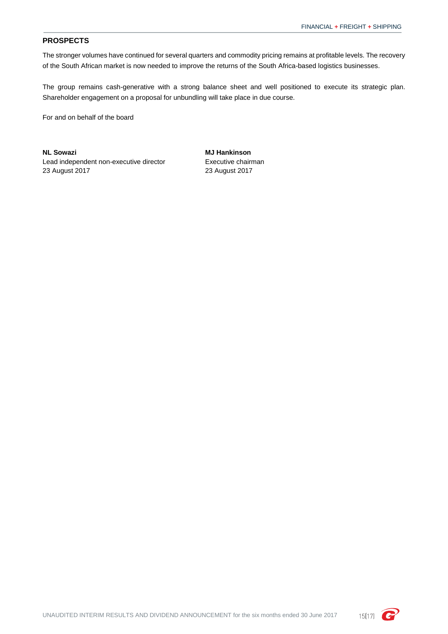### **PROSPECTS**

The stronger volumes have continued for several quarters and commodity pricing remains at profitable levels. The recovery of the South African market is now needed to improve the returns of the South Africa-based logistics businesses.

The group remains cash-generative with a strong balance sheet and well positioned to execute its strategic plan. Shareholder engagement on a proposal for unbundling will take place in due course.

For and on behalf of the board

**NL Sowazi MJ Hankinson** Lead independent non-executive director 23 August 2017 23 August 2017

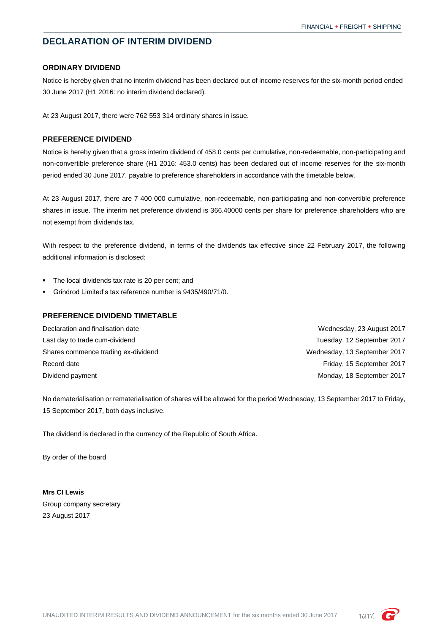# <span id="page-17-0"></span>**DECLARATION OF INTERIM DIVIDEND**

### **ORDINARY DIVIDEND**

Notice is hereby given that no interim dividend has been declared out of income reserves for the six-month period ended 30 June 2017 (H1 2016: no interim dividend declared).

At 23 August 2017, there were 762 553 314 ordinary shares in issue.

### **PREFERENCE DIVIDEND**

Notice is hereby given that a gross interim dividend of 458.0 cents per cumulative, non-redeemable, non-participating and non-convertible preference share (H1 2016: 453.0 cents) has been declared out of income reserves for the six-month period ended 30 June 2017, payable to preference shareholders in accordance with the timetable below.

At 23 August 2017, there are 7 400 000 cumulative, non-redeemable, non-participating and non-convertible preference shares in issue. The interim net preference dividend is 366.40000 cents per share for preference shareholders who are not exempt from dividends tax.

With respect to the preference dividend, in terms of the dividends tax effective since 22 February 2017, the following additional information is disclosed:

- The local dividends tax rate is 20 per cent; and
- Grindrod Limited's tax reference number is 9435/490/71/0.

#### **PREFERENCE DIVIDEND TIMETABLE**

| Declaration and finalisation date   | Wednesday, 23 August 2017    |
|-------------------------------------|------------------------------|
| Last day to trade cum-dividend      | Tuesday, 12 September 2017   |
| Shares commence trading ex-dividend | Wednesday, 13 September 2017 |
| Record date                         | Friday, 15 September 2017    |
| Dividend payment                    | Monday, 18 September 2017    |

No dematerialisation or rematerialisation of shares will be allowed for the period Wednesday, 13 September 2017 to Friday, 15 September 2017, both days inclusive.

The dividend is declared in the currency of the Republic of South Africa.

By order of the board

**Mrs CI Lewis** Group company secretary 23 August 2017